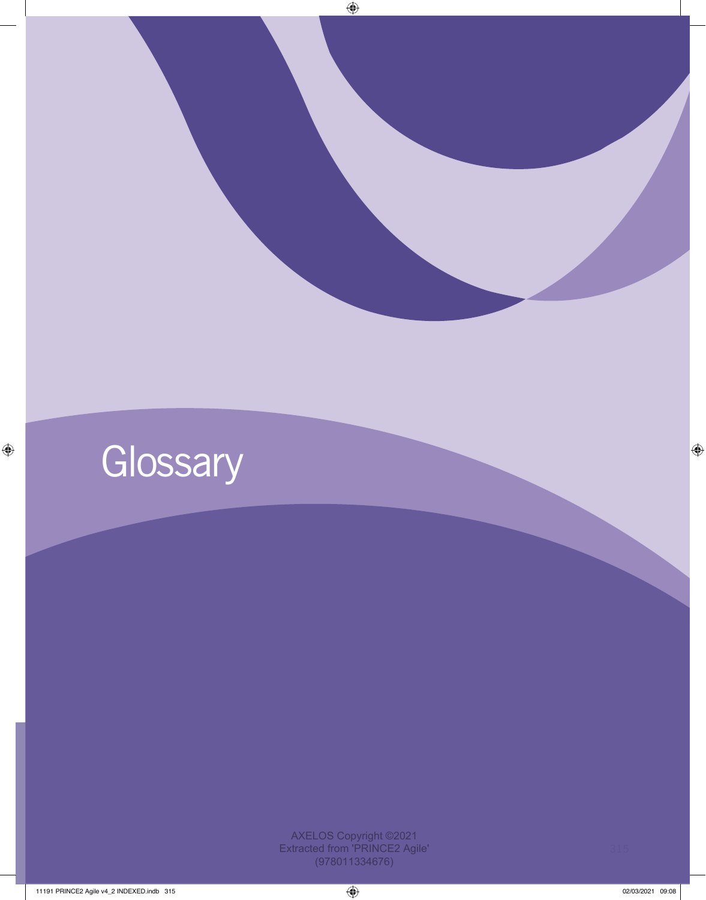

AXELOS Copyright ©2021 Extracted from 'PRINCE2 Agile' (978011334676)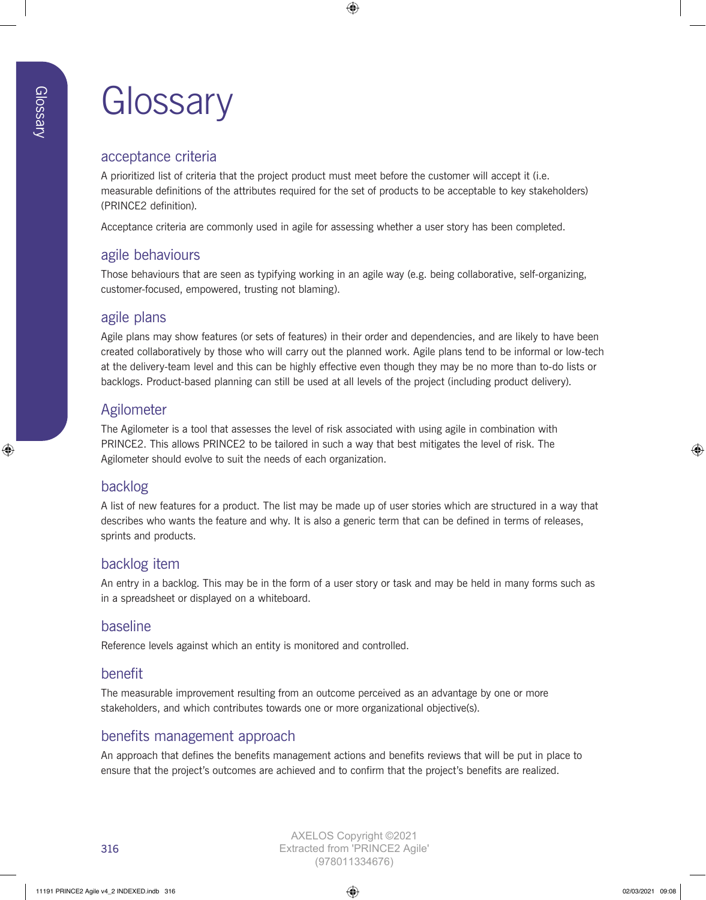## acceptance criteria

A prioritized list of criteria that the project product must meet before the customer will accept it (i.e. measurable definitions of the attributes required for the set of products to be acceptable to key stakeholders) (PRINCE2 definition).

Acceptance criteria are commonly used in agile for assessing whether a user story has been completed.

#### agile behaviours

Those behaviours that are seen as typifying working in an agile way (e.g. being collaborative, self-organizing, customer-focused, empowered, trusting not blaming).

#### agile plans

Agile plans may show features (or sets of features) in their order and dependencies, and are likely to have been created collaboratively by those who will carry out the planned work. Agile plans tend to be informal or low-tech at the delivery-team level and this can be highly effective even though they may be no more than to-do lists or backlogs. Product-based planning can still be used at all levels of the project (including product delivery).

## Agilometer

The Agilometer is a tool that assesses the level of risk associated with using agile in combination with PRINCE2. This allows PRINCE2 to be tailored in such a way that best mitigates the level of risk. The Agilometer should evolve to suit the needs of each organization.

## backlog

A list of new features for a product. The list may be made up of user stories which are structured in a way that describes who wants the feature and why. It is also a generic term that can be defined in terms of releases, sprints and products.

## backlog item

An entry in a backlog. This may be in the form of a user story or task and may be held in many forms such as in a spreadsheet or displayed on a whiteboard.

#### baseline

Reference levels against which an entity is monitored and controlled.

#### benefit

The measurable improvement resulting from an outcome perceived as an advantage by one or more stakeholders, and which contributes towards one or more organizational objective(s).

### benefits management approach

An approach that defines the benefits management actions and benefits reviews that will be put in place to ensure that the project's outcomes are achieved and to confirm that the project's benefits are realized.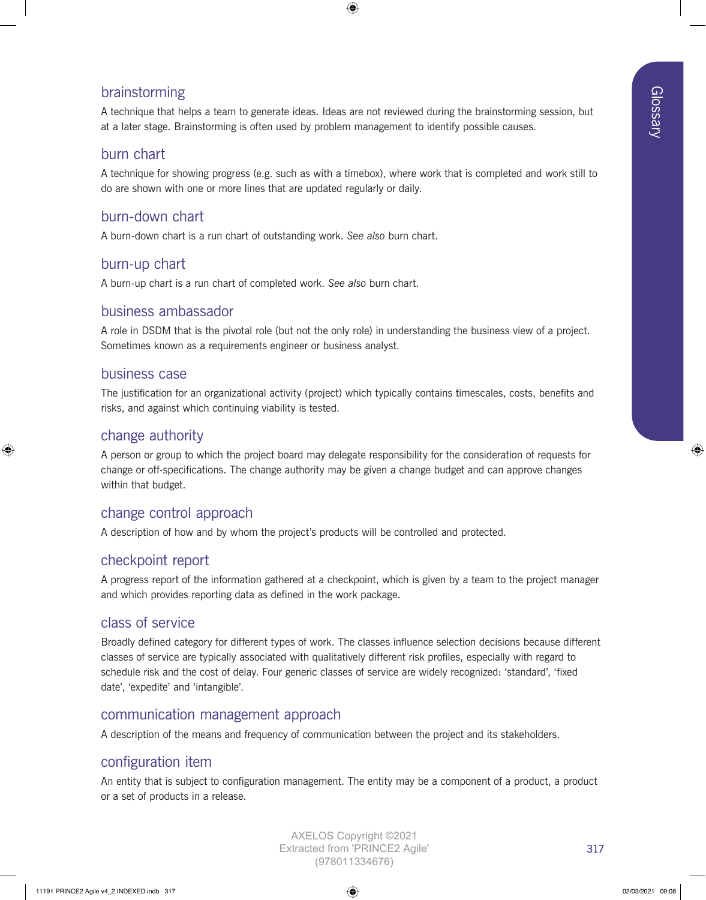## brainstorming

A technique that helps a team to generate ideas. Ideas are not reviewed during the brainstorming session, but at a later stage. Brainstorming is often used by problem management to identify possible causes.

#### burn chart

A technique for showing progress (e.g. such as with a timebox), where work that is completed and work still to do are shown with one or more lines that are updated regularly or daily.

#### burn-down chart

A burn-down chart is a run chart of outstanding work. *See also* burn chart.

#### burn-up chart

A burn-up chart is a run chart of completed work. *See also* burn chart.

#### business ambassador

A role in DSDM that is the pivotal role (but not the only role) in understanding the business view of a project. Sometimes known as a requirements engineer or business analyst.

#### business case

The justification for an organizational activity (project) which typically contains timescales, costs, benefits and risks, and against which continuing viability is tested.

#### change authority

A person or group to which the project board may delegate responsibility for the consideration of requests for change or off-specifications. The change authority may be given a change budget and can approve changes within that budget.

#### change control approach

A description of how and by whom the project's products will be controlled and protected.

#### checkpoint report

A progress report of the information gathered at a checkpoint, which is given by a team to the project manager and which provides reporting data as defined in the work package.

#### class of service

Broadly defined category for different types of work. The classes influence selection decisions because different classes of service are typically associated with qualitatively different risk profiles, especially with regard to schedule risk and the cost of delay. Four generic classes of service are widely recognized: 'standard', 'fixed date', 'expedite' and 'intangible'.

#### communication management approach

A description of the means and frequency of communication between the project and its stakeholders.

#### configuration item

An entity that is subject to configuration management. The entity may be a component of a product, a product or a set of products in a release.

> AXELOS Copyright ©2021 Extracted from 'PRINCE2 Agile' (978011334676)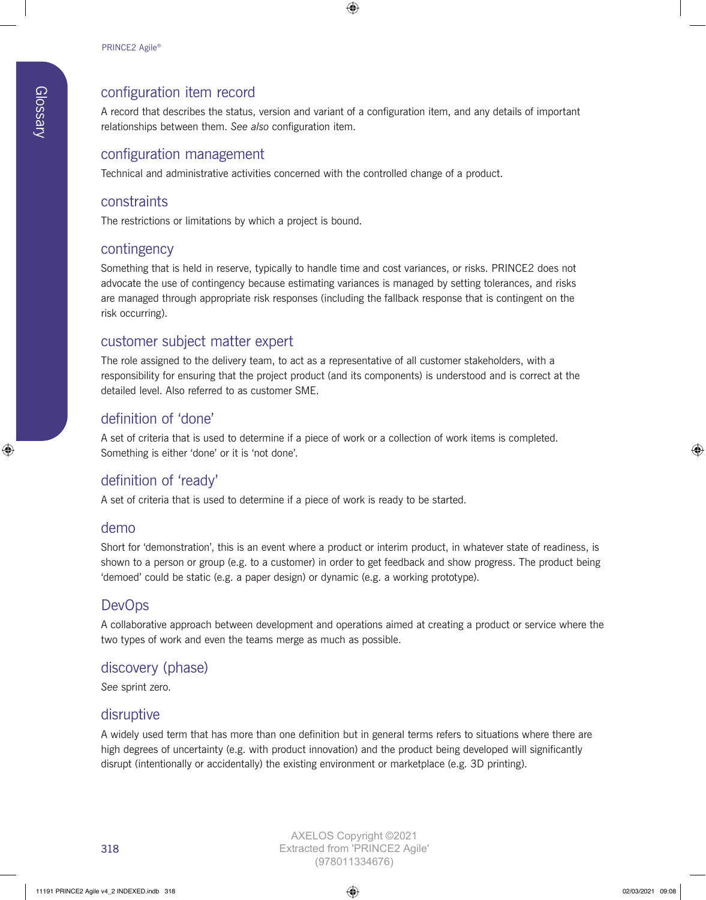#### configuration item record

A record that describes the status, version and variant of a configuration item, and any details of important relationships between them. *See also* configuration item.

#### configuration management

Technical and administrative activities concerned with the controlled change of a product.

#### constraints

The restrictions or limitations by which a project is bound.

#### contingency

Something that is held in reserve, typically to handle time and cost variances, or risks. PRINCE2 does not advocate the use of contingency because estimating variances is managed by setting tolerances, and risks are managed through appropriate risk responses (including the fallback response that is contingent on the risk occurring).

#### customer subject matter expert

The role assigned to the delivery team, to act as a representative of all customer stakeholders, with a responsibility for ensuring that the project product (and its components) is understood and is correct at the detailed level. Also referred to as customer SME.

#### definition of 'done'

A set of criteria that is used to determine if a piece of work or a collection of work items is completed. Something is either 'done' or it is 'not done'.

#### definition of 'ready'

A set of criteria that is used to determine if a piece of work is ready to be started.

#### demo

Short for 'demonstration', this is an event where a product or interim product, in whatever state of readiness, is shown to a person or group (e.g. to a customer) in order to get feedback and show progress. The product being 'demoed' could be static (e.g. a paper design) or dynamic (e.g. a working prototype).

#### **DevOps**

A collaborative approach between development and operations aimed at creating a product or service where the two types of work and even the teams merge as much as possible.

#### discovery (phase)

*See* sprint zero.

#### disruptive

A widely used term that has more than one definition but in general terms refers to situations where there are high degrees of uncertainty (e.g. with product innovation) and the product being developed will significantly disrupt (intentionally or accidentally) the existing environment or marketplace (e.g. 3D printing).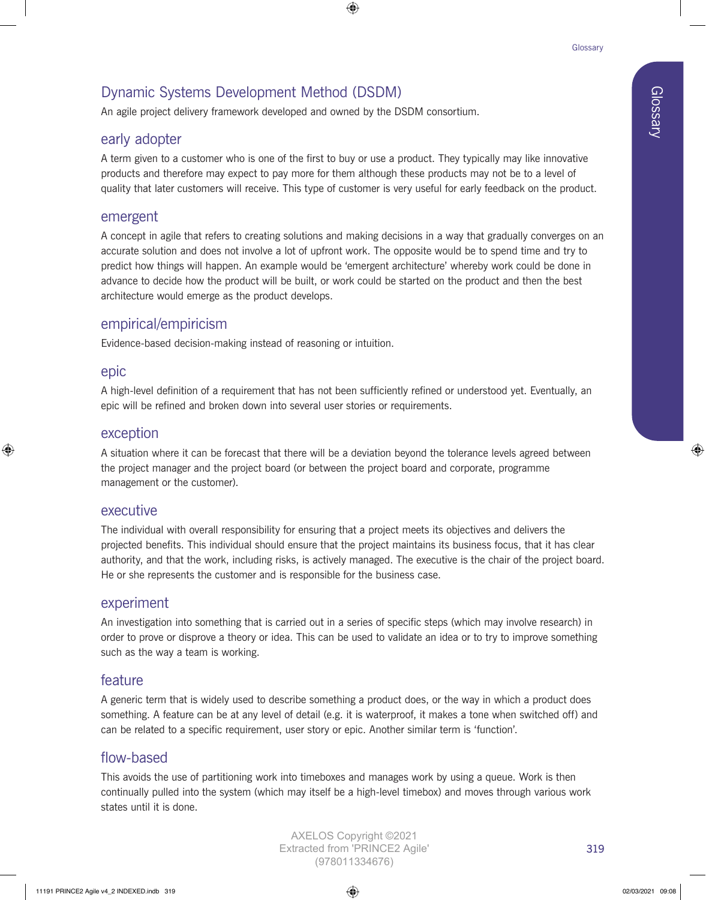## Dynamic Systems Development Method (DSDM)

An agile project delivery framework developed and owned by the DSDM consortium.

#### early adopter

A term given to a customer who is one of the first to buy or use a product. They typically may like innovative products and therefore may expect to pay more for them although these products may not be to a level of quality that later customers will receive. This type of customer is very useful for early feedback on the product.

#### emergent

A concept in agile that refers to creating solutions and making decisions in a way that gradually converges on an accurate solution and does not involve a lot of upfront work. The opposite would be to spend time and try to predict how things will happen. An example would be 'emergent architecture' whereby work could be done in advance to decide how the product will be built, or work could be started on the product and then the best architecture would emerge as the product develops.

#### empirical/empiricism

Evidence-based decision-making instead of reasoning or intuition.

#### epic

A high-level definition of a requirement that has not been sufficiently refined or understood yet. Eventually, an epic will be refined and broken down into several user stories or requirements.

#### exception

A situation where it can be forecast that there will be a deviation beyond the tolerance levels agreed between the project manager and the project board (or between the project board and corporate, programme management or the customer).

#### executive

The individual with overall responsibility for ensuring that a project meets its objectives and delivers the projected benefits. This individual should ensure that the project maintains its business focus, that it has clear authority, and that the work, including risks, is actively managed. The executive is the chair of the project board. He or she represents the customer and is responsible for the business case.

#### experiment

An investigation into something that is carried out in a series of specific steps (which may involve research) in order to prove or disprove a theory or idea. This can be used to validate an idea or to try to improve something such as the way a team is working.

#### feature

A generic term that is widely used to describe something a product does, or the way in which a product does something. A feature can be at any level of detail (e.g. it is waterproof, it makes a tone when switched off) and can be related to a specific requirement, user story or epic. Another similar term is 'function'.

#### flow-based

This avoids the use of partitioning work into timeboxes and manages work by using a queue. Work is then continually pulled into the system (which may itself be a high-level timebox) and moves through various work states until it is done.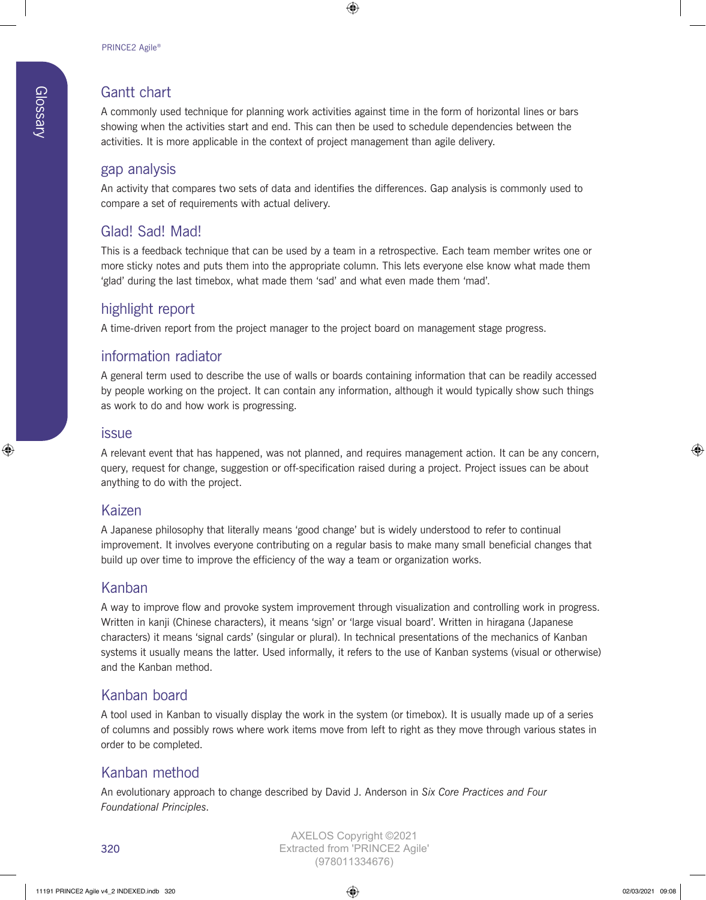## Gantt chart

A commonly used technique for planning work activities against time in the form of horizontal lines or bars showing when the activities start and end. This can then be used to schedule dependencies between the activities. It is more applicable in the context of project management than agile delivery.

#### gap analysis

An activity that compares two sets of data and identifies the differences. Gap analysis is commonly used to compare a set of requirements with actual delivery.

## Glad! Sad! Mad!

This is a feedback technique that can be used by a team in a retrospective. Each team member writes one or more sticky notes and puts them into the appropriate column. This lets everyone else know what made them 'glad' during the last timebox, what made them 'sad' and what even made them 'mad'.

## highlight report

A time-driven report from the project manager to the project board on management stage progress.

#### information radiator

A general term used to describe the use of walls or boards containing information that can be readily accessed by people working on the project. It can contain any information, although it would typically show such things as work to do and how work is progressing.

#### issue

A relevant event that has happened, was not planned, and requires management action. It can be any concern, query, request for change, suggestion or off-specification raised during a project. Project issues can be about anything to do with the project.

#### Kaizen

A Japanese philosophy that literally means 'good change' but is widely understood to refer to continual improvement. It involves everyone contributing on a regular basis to make many small beneficial changes that build up over time to improve the efficiency of the way a team or organization works.

#### Kanban

A way to improve flow and provoke system improvement through visualization and controlling work in progress. Written in kanji (Chinese characters), it means 'sign' or 'large visual board'. Written in hiragana (Japanese characters) it means 'signal cards' (singular or plural). In technical presentations of the mechanics of Kanban systems it usually means the latter. Used informally, it refers to the use of Kanban systems (visual or otherwise) and the Kanban method.

## Kanban board

A tool used in Kanban to visually display the work in the system (or timebox). It is usually made up of a series of columns and possibly rows where work items move from left to right as they move through various states in order to be completed.

## Kanban method

An evolutionary approach to change described by David J. Anderson in *Six Core Practices and Four Foundational Principles*.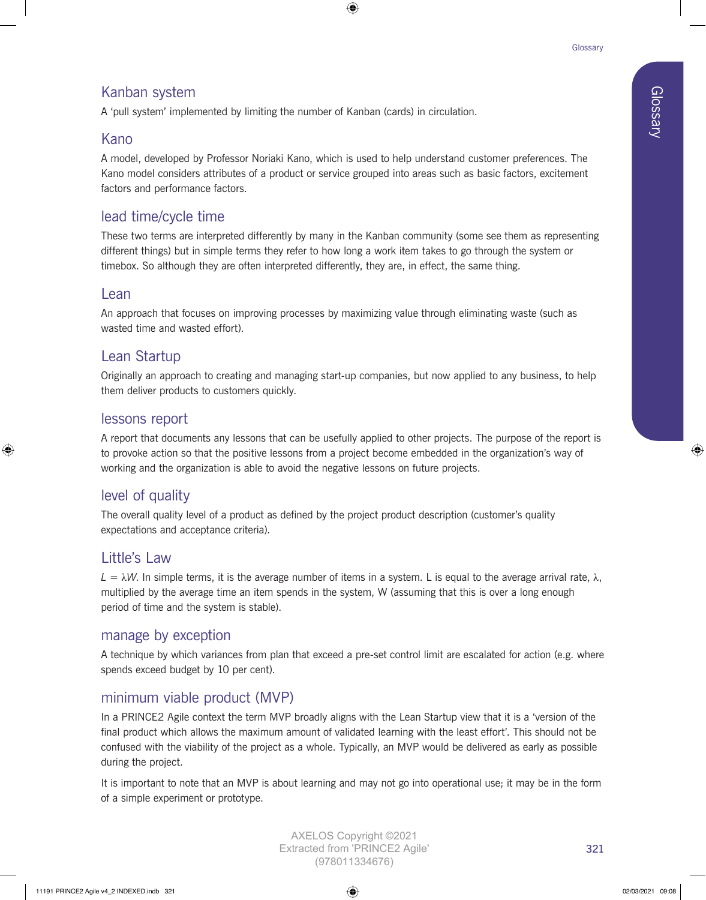## Kanban system

A 'pull system' implemented by limiting the number of Kanban (cards) in circulation.

## Kano

A model, developed by Professor Noriaki Kano, which is used to help understand customer preferences. The Kano model considers attributes of a product or service grouped into areas such as basic factors, excitement factors and performance factors.

## lead time/cycle time

These two terms are interpreted differently by many in the Kanban community (some see them as representing different things) but in simple terms they refer to how long a work item takes to go through the system or timebox. So although they are often interpreted differently, they are, in effect, the same thing.

#### Lean

An approach that focuses on improving processes by maximizing value through eliminating waste (such as wasted time and wasted effort).

## Lean Startup

Originally an approach to creating and managing start-up companies, but now applied to any business, to help them deliver products to customers quickly.

#### lessons report

A report that documents any lessons that can be usefully applied to other projects. The purpose of the report is to provoke action so that the positive lessons from a project become embedded in the organization's way of working and the organization is able to avoid the negative lessons on future projects.

## level of quality

The overall quality level of a product as defined by the project product description (customer's quality expectations and acceptance criteria).

## Little's Law

 $L = \lambda W$ . In simple terms, it is the average number of items in a system. L is equal to the average arrival rate,  $λ$ , multiplied by the average time an item spends in the system, W (assuming that this is over a long enough period of time and the system is stable).

#### manage by exception

A technique by which variances from plan that exceed a pre-set control limit are escalated for action (e.g. where spends exceed budget by 10 per cent).

#### minimum viable product (MVP)

In a PRINCE2 Agile context the term MVP broadly aligns with the Lean Startup view that it is a 'version of the final product which allows the maximum amount of validated learning with the least effort'. This should not be confused with the viability of the project as a whole. Typically, an MVP would be delivered as early as possible during the project.

It is important to note that an MVP is about learning and may not go into operational use; it may be in the form of a simple experiment or prototype.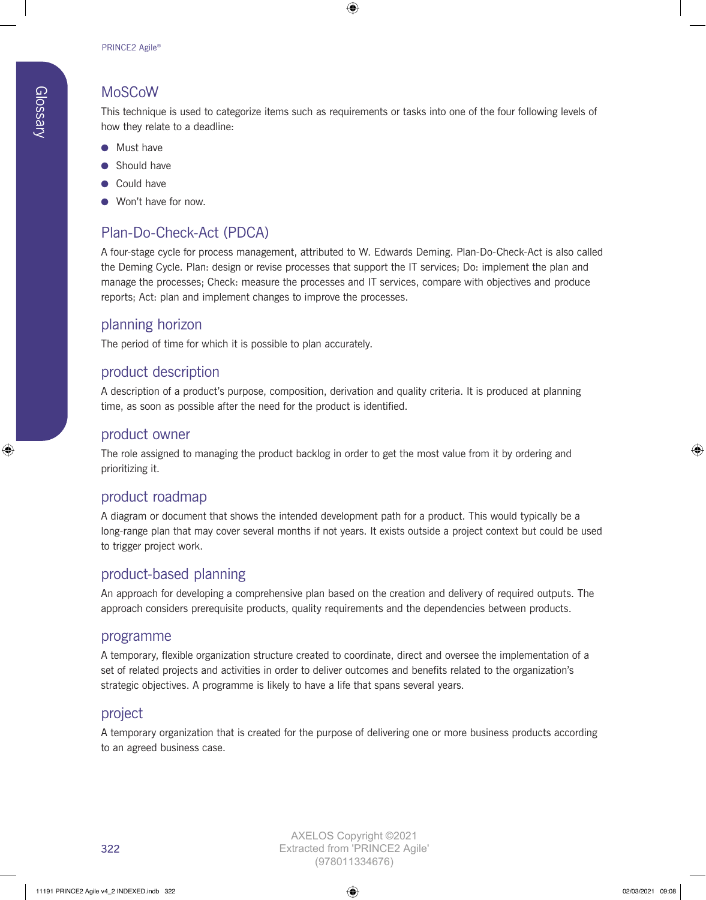## MoSCoW

This technique is used to categorize items such as requirements or tasks into one of the four following levels of how they relate to a deadline:

- Must have
- Should have
- **Could have**
- Won't have for now.

## Plan-Do-Check-Act (PDCA)

A four-stage cycle for process management, attributed to W. Edwards Deming. Plan-Do-Check-Act is also called the Deming Cycle. Plan: design or revise processes that support the IT services; Do: implement the plan and manage the processes; Check: measure the processes and IT services, compare with objectives and produce reports; Act: plan and implement changes to improve the processes.

#### planning horizon

The period of time for which it is possible to plan accurately.

#### product description

A description of a product's purpose, composition, derivation and quality criteria. It is produced at planning time, as soon as possible after the need for the product is identified.

#### product owner

The role assigned to managing the product backlog in order to get the most value from it by ordering and prioritizing it.

#### product roadmap

A diagram or document that shows the intended development path for a product. This would typically be a long-range plan that may cover several months if not years. It exists outside a project context but could be used to trigger project work.

#### product-based planning

An approach for developing a comprehensive plan based on the creation and delivery of required outputs. The approach considers prerequisite products, quality requirements and the dependencies between products.

#### programme

A temporary, flexible organization structure created to coordinate, direct and oversee the implementation of a set of related projects and activities in order to deliver outcomes and benefits related to the organization's strategic objectives. A programme is likely to have a life that spans several years.

#### project

A temporary organization that is created for the purpose of delivering one or more business products according to an agreed business case.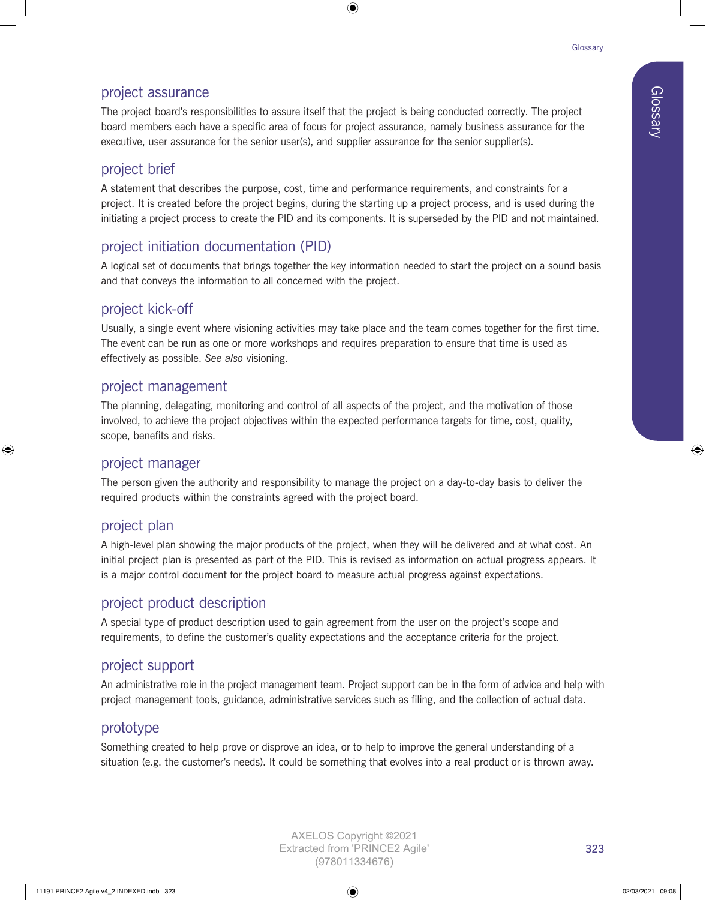#### project assurance

The project board's responsibilities to assure itself that the project is being conducted correctly. The project board members each have a specific area of focus for project assurance, namely business assurance for the executive, user assurance for the senior user(s), and supplier assurance for the senior supplier(s).

## project brief

A statement that describes the purpose, cost, time and performance requirements, and constraints for a project. It is created before the project begins, during the starting up a project process, and is used during the initiating a project process to create the PID and its components. It is superseded by the PID and not maintained.

## project initiation documentation (PID)

A logical set of documents that brings together the key information needed to start the project on a sound basis and that conveys the information to all concerned with the project.

## project kick-off

Usually, a single event where visioning activities may take place and the team comes together for the first time. The event can be run as one or more workshops and requires preparation to ensure that time is used as effectively as possible. *See also* visioning.

#### project management

The planning, delegating, monitoring and control of all aspects of the project, and the motivation of those involved, to achieve the project objectives within the expected performance targets for time, cost, quality, scope, benefits and risks.

#### project manager

The person given the authority and responsibility to manage the project on a day-to-day basis to deliver the required products within the constraints agreed with the project board.

## project plan

A high-level plan showing the major products of the project, when they will be delivered and at what cost. An initial project plan is presented as part of the PID. This is revised as information on actual progress appears. It is a major control document for the project board to measure actual progress against expectations.

## project product description

A special type of product description used to gain agreement from the user on the project's scope and requirements, to define the customer's quality expectations and the acceptance criteria for the project.

## project support

An administrative role in the project management team. Project support can be in the form of advice and help with project management tools, guidance, administrative services such as filing, and the collection of actual data.

#### prototype

Something created to help prove or disprove an idea, or to help to improve the general understanding of a situation (e.g. the customer's needs). It could be something that evolves into a real product or is thrown away.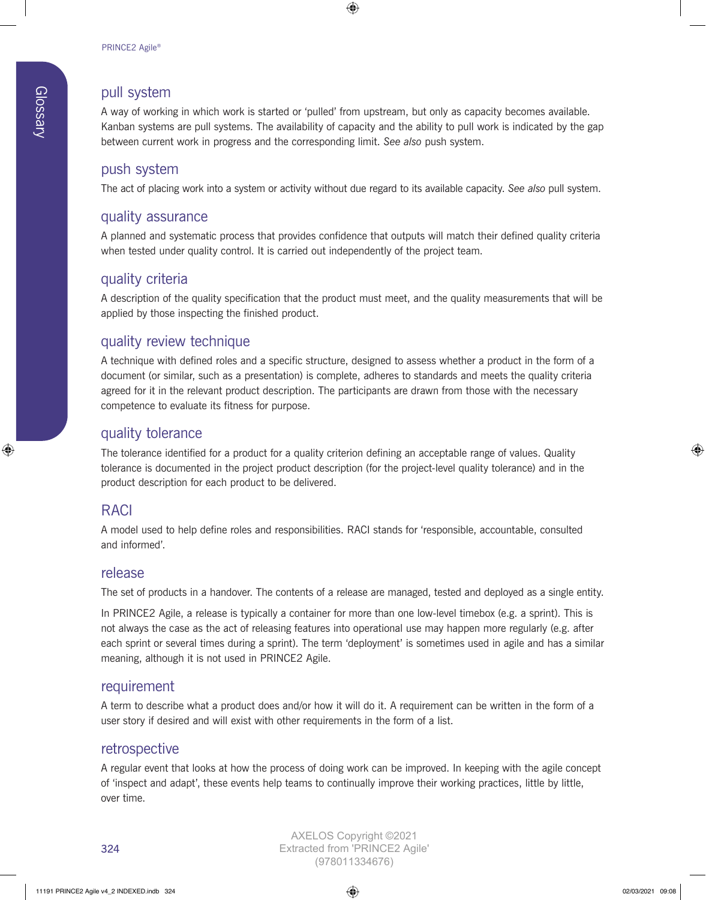#### pull system

A way of working in which work is started or 'pulled' from upstream, but only as capacity becomes available. Kanban systems are pull systems. The availability of capacity and the ability to pull work is indicated by the gap between current work in progress and the corresponding limit. *See also* push system.

#### push system

The act of placing work into a system or activity without due regard to its available capacity. *See also* pull system.

#### quality assurance

A planned and systematic process that provides confidence that outputs will match their defined quality criteria when tested under quality control. It is carried out independently of the project team.

#### quality criteria

A description of the quality specification that the product must meet, and the quality measurements that will be applied by those inspecting the finished product.

#### quality review technique

A technique with defined roles and a specific structure, designed to assess whether a product in the form of a document (or similar, such as a presentation) is complete, adheres to standards and meets the quality criteria agreed for it in the relevant product description. The participants are drawn from those with the necessary competence to evaluate its fitness for purpose.

#### quality tolerance

The tolerance identified for a product for a quality criterion defining an acceptable range of values. Quality tolerance is documented in the project product description (for the project-level quality tolerance) and in the product description for each product to be delivered.

## RACI

A model used to help define roles and responsibilities. RACI stands for 'responsible, accountable, consulted and informed'.

#### release

The set of products in a handover. The contents of a release are managed, tested and deployed as a single entity.

In PRINCE2 Agile, a release is typically a container for more than one low-level timebox (e.g. a sprint). This is not always the case as the act of releasing features into operational use may happen more regularly (e.g. after each sprint or several times during a sprint). The term 'deployment' is sometimes used in agile and has a similar meaning, although it is not used in PRINCE2 Agile.

#### requirement

A term to describe what a product does and/or how it will do it. A requirement can be written in the form of a user story if desired and will exist with other requirements in the form of a list.

#### retrospective

A regular event that looks at how the process of doing work can be improved. In keeping with the agile concept of 'inspect and adapt', these events help teams to continually improve their working practices, little by little, over time.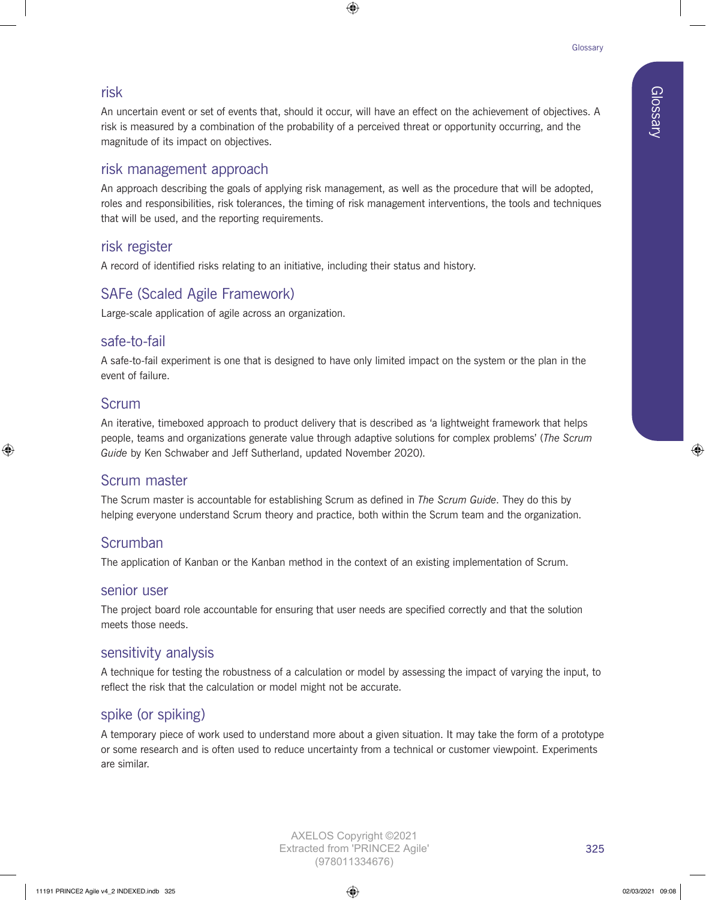#### risk

An uncertain event or set of events that, should it occur, will have an effect on the achievement of objectives. A risk is measured by a combination of the probability of a perceived threat or opportunity occurring, and the magnitude of its impact on objectives.

#### risk management approach

An approach describing the goals of applying risk management, as well as the procedure that will be adopted, roles and responsibilities, risk tolerances, the timing of risk management interventions, the tools and techniques that will be used, and the reporting requirements.

## risk register

A record of identified risks relating to an initiative, including their status and history.

## SAFe (Scaled Agile Framework)

Large-scale application of agile across an organization.

#### safe-to-fail

A safe-to-fail experiment is one that is designed to have only limited impact on the system or the plan in the event of failure.

#### Scrum

An iterative, timeboxed approach to product delivery that is described as 'a lightweight framework that helps people, teams and organizations generate value through adaptive solutions for complex problems' (*The Scrum Guide* by Ken Schwaber and Jeff Sutherland, updated November 2020).

#### Scrum master

The Scrum master is accountable for establishing Scrum as defined in *The Scrum Guide*. They do this by helping everyone understand Scrum theory and practice, both within the Scrum team and the organization.

#### Scrumban

The application of Kanban or the Kanban method in the context of an existing implementation of Scrum.

#### senior user

The project board role accountable for ensuring that user needs are specified correctly and that the solution meets those needs.

#### sensitivity analysis

A technique for testing the robustness of a calculation or model by assessing the impact of varying the input, to reflect the risk that the calculation or model might not be accurate.

#### spike (or spiking)

A temporary piece of work used to understand more about a given situation. It may take the form of a prototype or some research and is often used to reduce uncertainty from a technical or customer viewpoint. Experiments are similar.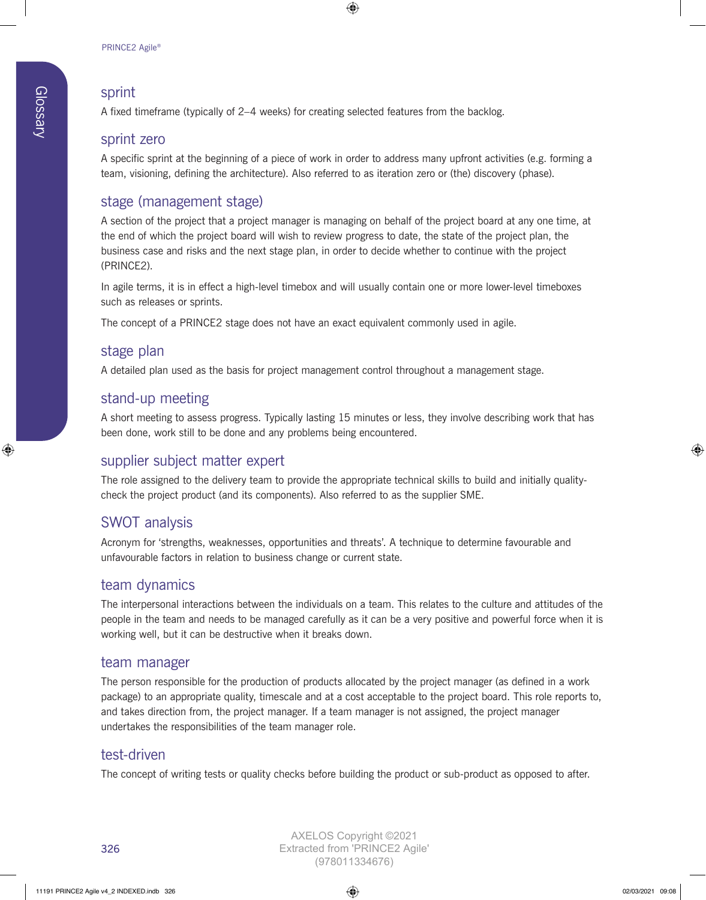#### sprint

A fixed timeframe (typically of 2–4 weeks) for creating selected features from the backlog.

#### sprint zero

A specific sprint at the beginning of a piece of work in order to address many upfront activities (e.g. forming a team, visioning, defining the architecture). Also referred to as iteration zero or (the) discovery (phase).

#### stage (management stage)

A section of the project that a project manager is managing on behalf of the project board at any one time, at the end of which the project board will wish to review progress to date, the state of the project plan, the business case and risks and the next stage plan, in order to decide whether to continue with the project (PRINCE2).

In agile terms, it is in effect a high-level timebox and will usually contain one or more lower-level timeboxes such as releases or sprints.

The concept of a PRINCE2 stage does not have an exact equivalent commonly used in agile.

#### stage plan

A detailed plan used as the basis for project management control throughout a management stage.

#### stand-up meeting

A short meeting to assess progress. Typically lasting 15 minutes or less, they involve describing work that has been done, work still to be done and any problems being encountered.

#### supplier subject matter expert

The role assigned to the delivery team to provide the appropriate technical skills to build and initially qualitycheck the project product (and its components). Also referred to as the supplier SME.

#### SWOT analysis

Acronym for 'strengths, weaknesses, opportunities and threats'. A technique to determine favourable and unfavourable factors in relation to business change or current state.

#### team dynamics

The interpersonal interactions between the individuals on a team. This relates to the culture and attitudes of the people in the team and needs to be managed carefully as it can be a very positive and powerful force when it is working well, but it can be destructive when it breaks down.

#### team manager

The person responsible for the production of products allocated by the project manager (as defined in a work package) to an appropriate quality, timescale and at a cost acceptable to the project board. This role reports to, and takes direction from, the project manager. If a team manager is not assigned, the project manager undertakes the responsibilities of the team manager role.

#### test-driven

The concept of writing tests or quality checks before building the product or sub-product as opposed to after.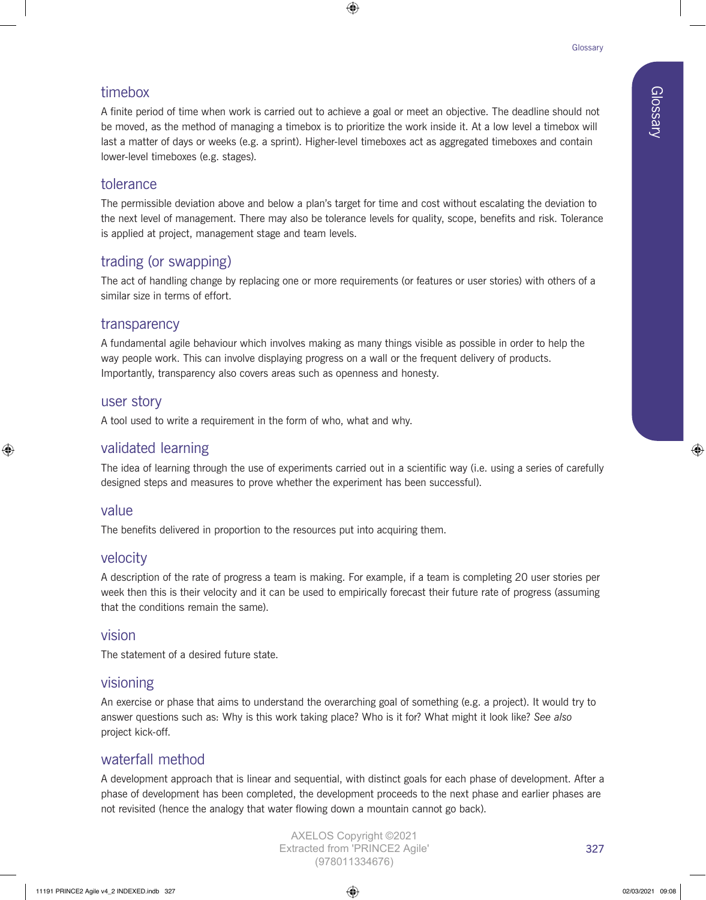### timebox

A finite period of time when work is carried out to achieve a goal or meet an objective. The deadline should not be moved, as the method of managing a timebox is to prioritize the work inside it. At a low level a timebox will last a matter of days or weeks (e.g. a sprint). Higher-level timeboxes act as aggregated timeboxes and contain lower-level timeboxes (e.g. stages).

#### tolerance

The permissible deviation above and below a plan's target for time and cost without escalating the deviation to the next level of management. There may also be tolerance levels for quality, scope, benefits and risk. Tolerance is applied at project, management stage and team levels.

## trading (or swapping)

The act of handling change by replacing one or more requirements (or features or user stories) with others of a similar size in terms of effort.

#### transparency

A fundamental agile behaviour which involves making as many things visible as possible in order to help the way people work. This can involve displaying progress on a wall or the frequent delivery of products. Importantly, transparency also covers areas such as openness and honesty.

#### user story

A tool used to write a requirement in the form of who, what and why.

#### validated learning

The idea of learning through the use of experiments carried out in a scientific way (i.e. using a series of carefully designed steps and measures to prove whether the experiment has been successful).

#### value

The benefits delivered in proportion to the resources put into acquiring them.

#### velocity

A description of the rate of progress a team is making. For example, if a team is completing 20 user stories per week then this is their velocity and it can be used to empirically forecast their future rate of progress (assuming that the conditions remain the same).

#### vision

The statement of a desired future state.

#### visioning

An exercise or phase that aims to understand the overarching goal of something (e.g. a project). It would try to answer questions such as: Why is this work taking place? Who is it for? What might it look like? *See also* project kick-off.

## waterfall method

A development approach that is linear and sequential, with distinct goals for each phase of development. After a phase of development has been completed, the development proceeds to the next phase and earlier phases are not revisited (hence the analogy that water flowing down a mountain cannot go back).

> AXELOS Copyright ©2021 Extracted from 'PRINCE2 Agile' (978011334676)